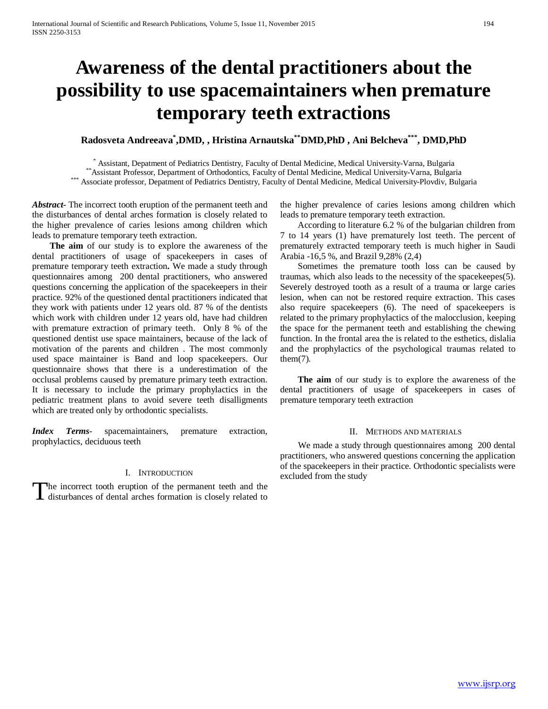# **Awareness of the dental practitioners about the possibility to use spacemaintainers when premature temporary teeth extractions**

## Radosveta Andreeava<sup>\*</sup>,DMD, , Hristina Arnautska\*\*DMD,PhD , Ani Belcheva\*\*\*, DMD,PhD

Assistant, Depatment of Pediatrics Dentistry, Faculty of Dental Medicine, Medical University-Varna, Bulgaria<br>
\*\* Assistant Professor, Department of Orthodontics, Faculty of Dental Medicine, Medical University-Varna, Bulgar

*Abstract***-** The incorrect tooth eruption of the permanent teeth and the disturbances of dental arches formation is closely related to the higher prevalence of caries lesions among children which leads to premature temporary teeth extraction.

 **The aim** of our study is to explore the awareness of the dental practitioners of usage of spacekeepers in cases of premature temporary teeth extraction**.** We made a study through questionnaires among 200 dental practitioners, who answered questions concerning the application of the spacekeepers in their practice. 92% of the questioned dental practitioners indicated that they work with patients under 12 years old. 87 % of the dentists which work with children under 12 years old, have had children with premature extraction of primary teeth. Only 8 % of the questioned dentist use space maintainers, because of the lack of motivation of the parents and children . The most commonly used space maintainer is Band and loop spacekeepers. Our questionnaire shows that there is a underestimation of the occlusal problems caused by premature primary teeth extraction. It is necessary to include the primary prophylactics in the pediatric treatment plans to avoid severe teeth disalligments which are treated only by orthodontic specialists.

*Index Terms*- spacemaintainers, premature extraction, prophylactics, deciduous teeth

## I. INTRODUCTION

he incorrect tooth eruption of the permanent teeth and the The incorrect tooth eruption of the permanent teeth and the disturbances of dental arches formation is closely related to the higher prevalence of caries lesions among children which leads to premature temporary teeth extraction.

 According to literature 6.2 % of the bulgarian children from 7 to 14 years (1) have prematurely lost teeth. The percent of prematurely extracted temporary teeth is much higher in Saudi Arabia -16,5 %, and Brazil 9,28% (2,4)

 Sometimes the premature tooth loss can be caused by traumas, which also leads to the necessity of the spacekeepes(5). Severely destroyed tooth as a result of a trauma or large caries lesion, when can not be restored require extraction. This cases also require spacekeepers (6). The need of spacekeepers is related to the primary prophylactics of the malocclusion, keeping the space for the permanent teeth and establishing the chewing function. In the frontal area the is related to the esthetics, dislalia and the prophylactics of the psychological traumas related to  $them(7)$ .

 **The aim** of our study is to explore the awareness of the dental practitioners of usage of spacekeepers in cases of premature temporary teeth extraction

## II. METHODS AND MATERIALS

 We made a study through questionnaires among 200 dental practitioners, who answered questions concerning the application of the spacekeepers in their practice. Orthodontic specialists were excluded from the study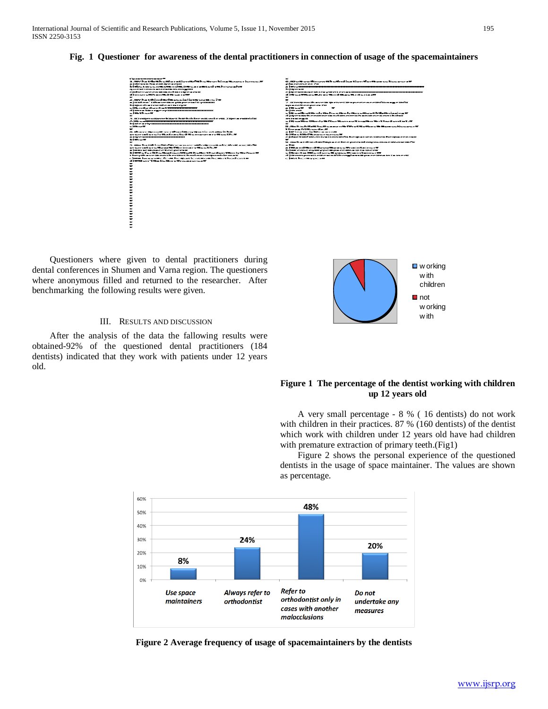## **Fig. 1 Questioner for awareness of the dental practitioners in connection of usage of the spacemaintainers**



 Questioners where given to dental practitioners during dental conferences in Shumen and Varna region. The questioners where anonymous filled and returned to the researcher. After benchmarking the following results were given.

## III. RESULTS AND DISCUSSION

 After the analysis of the data the fallowing results were obtained-92% of the questioned dental practitioners (184 dentists) indicated that they work with patients under 12 years old.



## **Figure 1 The percentage of the dentist working with children up 12 years old**

 A very small percentage - 8 % ( 16 dentists) do not work with children in their practices. 87 % (160 dentists) of the dentist which work with children under 12 years old have had children with premature extraction of primary teeth.(Fig1)

 Figure 2 shows the personal experience of the questioned dentists in the usage of space maintainer. The values are shown as percentage.



**Figure 2 Average frequency of usage of spacemaintainers by the dentists**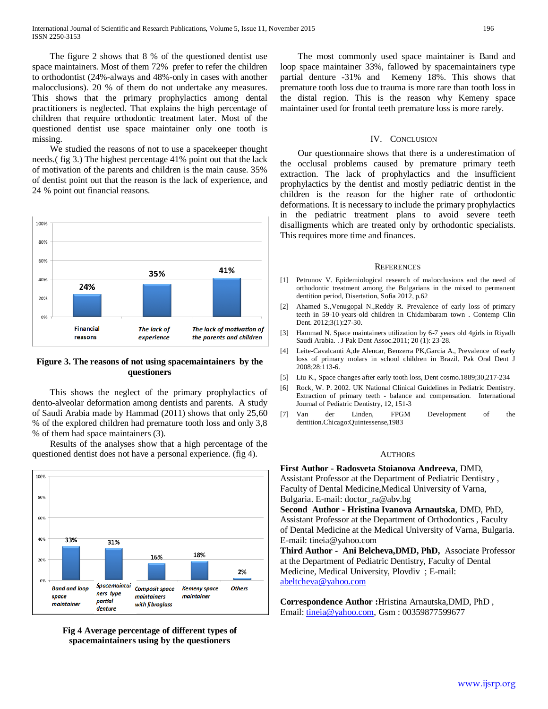The figure 2 shows that 8 % of the questioned dentist use space maintainers. Most of them 72% prefer to refer the children to orthodontist (24%-always and 48%-only in cases with another malocclusions). 20 % of them do not undertake any measures. This shows that the primary prophylactics among dental practitioners is neglected. That explains the high percentage of children that require orthodontic treatment later. Most of the questioned dentist use space maintainer only one tooth is missing.

 We studied the reasons of not to use a spacekeeper thought needs.( fig 3.) The highest percentage 41% point out that the lack of motivation of the parents and children is the main cause. 35% of dentist point out that the reason is the lack of experience, and 24 % point out financial reasons.



**Figure 3. The reasons of not using spacemaintainers by the questioners**

 This shows the neglect of the primary prophylactics of dento-alveolar deformation among dentists and parents. A study of Saudi Arabia made by Hammad (2011) shows that only 25,60 % of the explored children had premature tooth loss and only 3,8 % of them had space maintainers (3).

 Results of the analyses show that a high percentage of the questioned dentist does not have a personal experience. (fig 4).



**Fig 4 Average percentage of different types of spacemaintainers using by the questioners**

 The most commonly used space maintainer is Band and loop space maintainer 33%, fallowed by spacemaintainers type partial denture -31% and Kemeny 18%. This shows that premature tooth loss due to trauma is more rare than tooth loss in the distal region. This is the reason why Kemeny space maintainer used for frontal teeth premature loss is more rarely.

## IV. CONCLUSION

 Our questionnaire shows that there is a underestimation of the occlusal problems caused by premature primary teeth extraction. The lack of prophylactics and the insufficient prophylactics by the dentist and mostly pediatric dentist in the children is the reason for the higher rate of orthodontic deformations. It is necessary to include the primary prophylactics in the pediatric treatment plans to avoid severe teeth disalligments which are treated only by orthodontic specialists. This requires more time and finances.

### **REFERENCES**

- [1] Petrunov V. Epidemiological research of malocclusions and the need of orthodontic treatment among the Bulgarians in the mixed to permanent dentition period, Disertation, Sofia 2012, p.62
- [2] Ahamed S.,Venugopal N.,Reddy R. Prevalence of early loss of primary teeth in 59-10-years-old children in Chidambaram town . Contemp Clin Dent. 2012;3(1):27-30.
- [3] Hammad N. Space maintainers utilization by 6-7 years old 4girls in Riyadh Saudi Arabia. . J Pak Dent Assoc.2011; 20 (1): 23-28.
- [4] Leite-Cavalcanti A,de Alencar, Benzerra PK,Garcia A., Prevalence of early loss of primary molars in school children in Brazil. Pak Oral Dent J 2008;28:113-6.
- [5] Liu K., Space changes after early tooth loss, Dent cosmo.1889;30,217-234
- [6] Rock, W. P. 2002. UK National Clinical Guidelines in Pediatric Dentistry. Extraction of primary teeth - balance and compensation. International Journal of Pediatric Dentistry, 12, 151-3
- [7] Van der Linden, FPGM Development of the dentition.Chicago:Quintessense,1983

#### **AUTHORS**

## **First Author - Radosveta Stoianova Andreeva**, DMD,

Assistant Professor at the Department of Pediatric Dentistry , Faculty of Dental Medicine,Medical University of Varna, Bulgaria. E-mail: doctor\_ra@abv.bg

**Second Author - Hristina Ivanova Arnautska**, DMD, PhD, Assistant Professor at the Department of Orthodontics , Faculty of Dental Medicine at the Medical University of Varna, Bulgaria. E-mail: tineia@yahoo.com

**Third Author - Ani Belcheva,DMD, PhD,** Associate Professor at the Department of Pediatric Dentistry, Faculty of Dental Medicine, Medical University, Plovdiv ; E-mail: [abeltcheva@yahoo.com](mailto:abeltcheva@yahoo.com)

**Correspondence Author :**Hristina Arnautska,DMD, PhD , Email[: tineia@yahoo.com,](mailto:tineia@yahoo.com) Gsm : 00359877599677